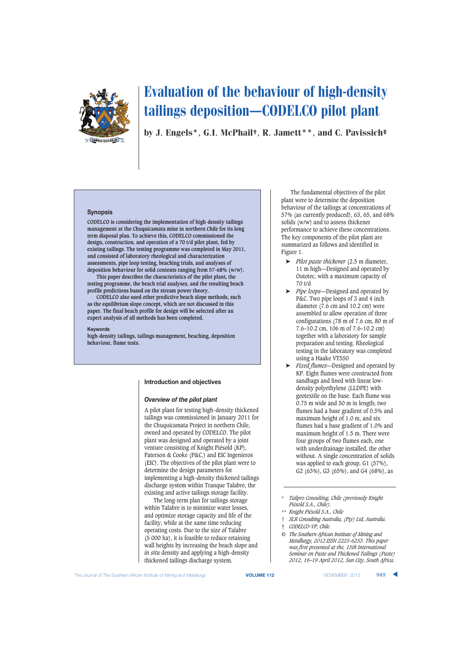

by J. Engels\*, G.I. McPhail†, R. Jamett\*\*, and C. Pavissich‡

#### **Synopsis**

**CODELCO is considering the implementation of high-density tailings management at the Chuquicamata mine in northern Chile for its long term disposal plan. To achieve this, CODELCO commissioned the design, construction, and operation of a 70 t/d pilot plant, fed by existing tailings. The testing programme was completed in May 2011, and consisted of laboratory rheological and characterization assessments, pipe loop testing, beaching trials, and analyses of deposition behaviour for solid contents ranging from 57–68% (w/w).**

**This paper describes the characteristics of the pilot plant, the testing programme, the beach trial analyses, and the resulting beach profile predictions based on the stream power theory.**

**CODELCO also used other predictive beach slope methods, such as the equilibrium slope concept, which are not discussed in this paper. The final beach profile for design will be selected after an expert analysis of all methods has been completed.**

#### **Keywords**

**high-density tailings, tailings management, beaching, deposition behaviour, flume tests.**

## **Introduction and objectives**

#### *Overview of the pilot plant*

A pilot plant for testing high-density thickened tailings was commissioned in January 2011 for the Chuquicamata Project in northern Chile, owned and operated by CODELCO. The pilot plant was designed and operated by a joint venture consisting of Knight Piésold (KP), Paterson & Cooke (P&C,) and EIC Ingenieros (EIC). The objectives of the pilot plant were to determine the design parameters for implementing a high-density thickened tailings discharge system within Tranque Talabre, the existing and active tailings storage facility.

The long-term plan for tailings storage within Talabre is to minimize water losses, and optimize storage capacity and life of the facility, while at the same time reducing operating costs. Due to the size of Talabre (5 000 ha), it is feasible to reduce retaining wall heights by increasing the beach slope and *in situ* density and applying a high-density thickened tailings discharge system.

The fundamental objectives of the pilot plant were to determine the deposition behaviour of the tailings at concentrations of 57% (as currently produced), 63, 65, and 68% solids (w/w) and to assess thickener performance to achieve these concentrations. The key components of the pilot plant are summarized as follows and identified in Figure 1.

- ➤ *Pilot paste thickener* (2.5 m diameter, 11 m high—Designed and operated by Outotec, with a maximum capacity of 70 t/d
- ➤ *Pipe loops*—Designed and operated by P&C. Two pipe loops of 3 and 4 inch diameter (7.6 cm and 10.2 cm) were assembled to allow operation of three configurations (78 m of 7.6 cm, 80 m of 7.6–10.2 cm, 106 m of 7.6–10.2 cm) together with a laboratory for sample preparation and testing. Rheological testing in the laboratory was completed using a Haake VT550
- ➤ *Fixed flumes*—Designed and operated by KP. Eight flumes were constructed from sandbags and lined with linear lowdensity polyethylene (LLDPE) with geotextile on the base. Each flume was 0.75 m wide and 50 m in length; two flumes had a base gradient of 0.5% and maximum height of 1.0 m, and six flumes had a base gradient of 1.0% and maximum height of 1.5 m. There were four groups of two flumes each, one with underdrainage installed, the other without. A single concentration of solids was applied to each group, G1 (57%), G2 (63%), G3 (65%), and G4 (68%), as
- \* *Tailpro Consulting, Chile (previously Knight Piésold S.A., Chile).*
- \*\* *Knight Piésold S.A., Chile*
- † *SLR Consulting Australia, (Pty) Ltd, Australia.*
- ‡ *CODELCO-VP, Chile.*
- *© The Southern African Institute of Mining and Metallurgy, 2012.ISSN 2225-6253. This paper was first presented at the, 15th International Seminar on Paste and Thickened Tailings (Paste) 2012, 16–19 April 2012, Sun City, South Africa.*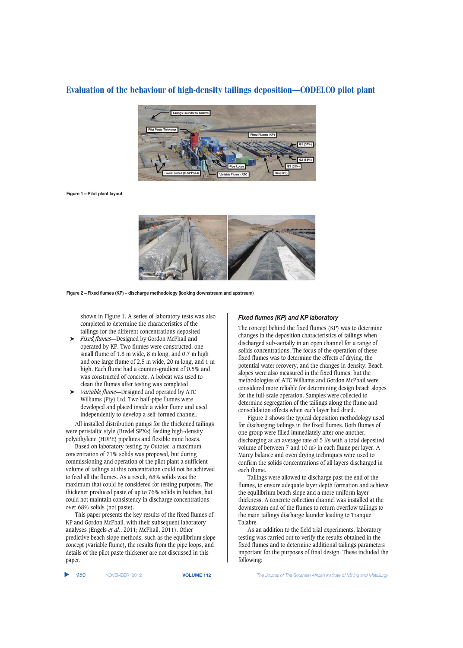

**Figure 1—Pilot plant layout**



**Figure 2—Fixed flumes (KP) – discharge methodology (looking downstream and upstream)**

shown in Figure 1. A series of laboratory tests was also completed to determine the characteristics of the tailings for the different concentrations deposited

- ➤ *Fixed flumes*—Designed by Gordon McPhail and operated by KP. Two flumes were constructed, one small flume of 1.8 m wide, 8 m long, and 0.7 m high and one large flume of 2.5 m wide, 20 m long, and 1 m high. Each flume had a counter-gradient of 0.5% and was constructed of concrete. A bobcat was used to clean the flumes after testing was completed
- ➤ *Variable flume*—Designed and operated by ATC Williams (Pty) Ltd. Two half-pipe flumes were developed and placed inside a wider flume and used independently to develop a self-formed channel.

All installed distribution pumps for the thickened tailings were peristaltic style (Bredel SPXs) feeding high-density polyethylene (HDPE) pipelines and flexible mine hoses.

Based on laboratory testing by Outotec, a maximum concentration of 71% solids was proposed, but during commissioning and operation of the pilot plant a sufficient volume of tailings at this concentration could not be achieved to feed all the flumes. As a result, 68% solids was the maximum that could be considered for testing purposes. The thickener produced paste of up to 76% solids in batches, but could not maintain consistency in discharge concentrations over 68% solids (not paste).

This paper presents the key results of the fixed flumes of KP and Gordon McPhail, with their subsequent laboratory analyses (Engels *et al.*, 2011; McPhail, 2011). Other predictive beach slope methods, such as the equilibrium slope concept (variable flume), the results from the pipe loops, and details of the pilot paste thickener are not discussed in this paper.

### *Fixed flumes (KP) and KP laboratory*

The concept behind the fixed flumes (KP) was to determine changes in the deposition characteristics of tailings when discharged sub-aerially in an open channel for a range of solids concentrations. The focus of the operation of these fixed flumes was to determine the effects of drying, the potential water recovery, and the changes in density. Beach slopes were also measured in the fixed flumes, but the methodologies of ATC Williams and Gordon McPhail were considered more reliable for determining design beach slopes for the full-scale operation. Samples were collected to determine segregation of the tailings along the flume and consolidation effects when each layer had dried.

Figure 2 shows the typical deposition methodology used for discharging tailings in the fixed flumes. Both flumes of one group were filled immediately after one another, discharging at an average rate of 5 l/s with a total deposited volume of between 7 and 10 m3 in each flume per layer. A Marcy balance and oven drying techniques were used to confirm the solids concentrations of all layers discharged in each flume.

Tailings were allowed to discharge past the end of the flumes, to ensure adequate layer depth formation and achieve the equilibrium beach slope and a more uniform layer thickness. A concrete collection channel was installed at the downstream end of the flumes to return overflow tailings to the main tailings discharge launder leading to Tranque Talabre.

As an addition to the field trial experiments, laboratory testing was carried out to verify the results obtained in the fixed flumes and to determine additional tailings parameters important for the purposes of final design. These included the following: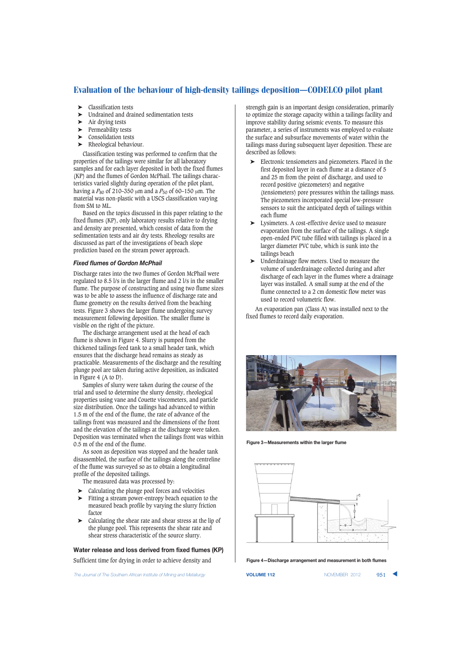- ➤ Classification tests
- Undrained and drained sedimentation tests
- ➤ Air drying tests
- ➤ Permeability tests
- ➤ Consolidation tests
- ➤ Rheological behaviour.

Classification testing was performed to confirm that the properties of the tailings were similar for all laboratory samples and for each layer deposited in both the fixed flumes (KP) and the flumes of Gordon McPhail. The tailings characteristics varied slightly during operation of the pilot plant, having a  $P_{80}$  of 210–350 μm and a  $P_{50}$  of 60–150 μm. The material was non-plastic with a USCS classification varying from SM to ML.

Based on the topics discussed in this paper relating to the fixed flumes (KP), only laboratory results relative to drying and density are presented, which consist of data from the sedimentation tests and air dry tests. Rheology results are discussed as part of the investigations of beach slope prediction based on the stream power approach.

## *Fixed flumes of Gordon McPhail*

Discharge rates into the two flumes of Gordon McPhail were regulated to 8.5 l/s in the larger flume and 2 l/s in the smaller flume. The purpose of constructing and using two flume sizes was to be able to assess the influence of discharge rate and flume geometry on the results derived from the beaching tests. Figure 3 shows the larger flume undergoing survey measurement following deposition. The smaller flume is visible on the right of the picture.

The discharge arrangement used at the head of each flume is shown in Figure 4. Slurry is pumped from the thickened tailings feed tank to a small header tank, which ensures that the discharge head remains as steady as practicable. Measurements of the discharge and the resulting plunge pool are taken during active deposition, as indicated in Figure 4 (A to D).

Samples of slurry were taken during the course of the trial and used to determine the slurry density, rheological properties using vane and Couette viscometers, and particle size distribution. Once the tailings had advanced to within 1.5 m of the end of the flume, the rate of advance of the tailings front was measured and the dimensions of the front and the elevation of the tailings at the discharge were taken. Deposition was terminated when the tailings front was within 0.5 m of the end of the flume.

As soon as deposition was stopped and the header tank disassembled, the surface of the tailings along the centreline of the flume was surveyed so as to obtain a longitudinal profile of the deposited tailings.

The measured data was processed by:

- ➤ Calculating the plunge pool forces and velocities
- ➤ Fitting a stream power-entropy beach equation to the measured beach profile by varying the slurry friction factor
- ➤ Calculating the shear rate and shear stress at the lip of the plunge pool. This represents the shear rate and shear stress characteristic of the source slurry.

**Water release and loss derived from fixed flumes (KP)** Sufficient time for drying in order to achieve density and

**The Journal of The Southern African Institute of Mining and Metallurgy <b>VOLUME 112 VOLUME 112** NOVEMBER 2012 951

strength gain is an important design consideration, primarily to optimize the storage capacity within a tailings facility and improve stability during seismic events. To measure this parameter, a series of instruments was employed to evaluate the surface and subsurface movements of water within the tailings mass during subsequent layer deposition. These are described as follows:

- ➤ Electronic tensiometers and piezometers. Placed in the first deposited layer in each flume at a distance of 5 and 25 m from the point of discharge, and used to record positive (piezometers) and negative (tensiometers) pore pressures within the tailings mass. The piezometers incorporated special low-pressure sensors to suit the anticipated depth of tailings within each flume
- ➤ Lysimeters. A cost-effective device used to measure evaporation from the surface of the tailings. A single open-ended PVC tube filled with tailings is placed in a larger diameter PVC tube, which is sunk into the tailings beach
- ➤ Underdrainage flow meters. Used to measure the volume of underdrainage collected during and after discharge of each layer in the flumes where a drainage layer was installed. A small sump at the end of the flume connected to a 2 cm domestic flow meter was used to record volumetric flow.

An evaporation pan (Class A) was installed next to the fixed flumes to record daily evaporation.



**Figure 3—Measurements within the larger flume**



**Figure 4—Discharge arrangement and measurement in both flumes**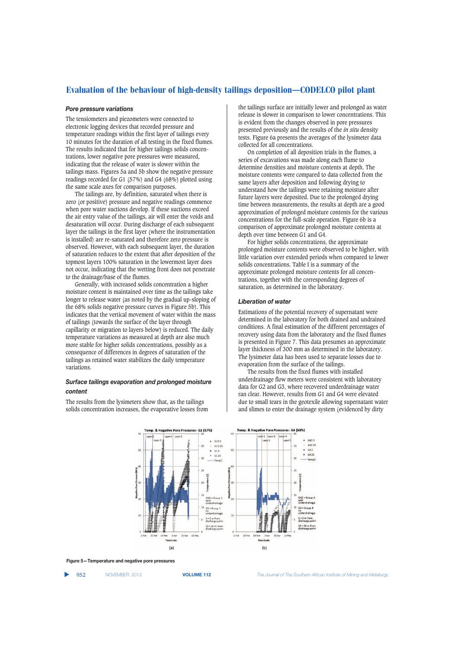#### *Pore pressure variations*

The tensiometers and piezometers were connected to electronic logging devices that recorded pressure and temperature readings within the first layer of tailings every 10 minutes for the duration of all testing in the fixed flumes. The results indicated that for higher tailings solids concentrations, lower negative pore pressures were measured, indicating that the release of water is slower within the tailings mass. Figures 5a and 5b show the negative pressure readings recorded for G1 (57%) and G4 (68%) plotted using the same scale axes for comparison purposes.

The tailings are, by definition, saturated when there is zero (or positive) pressure and negative readings commence when pore water suctions develop. If these suctions exceed the air entry value of the tailings, air will enter the voids and desaturation will occur. During discharge of each subsequent layer the tailings in the first layer (where the instrumentation is installed) are re-saturated and therefore zero pressure is observed. However, with each subsequent layer, the duration of saturation reduces to the extent that after deposition of the topmost layers 100% saturation in the lowermost layer does not occur, indicating that the wetting front does not penetrate to the drainage/base of the flumes.

Generally, with increased solids concentration a higher moisture content is maintained over time as the tailings take longer to release water (as noted by the gradual up-sloping of the 68% solids negative pressure curves in Figure 5b). This indicates that the vertical movement of water within the mass of tailings (towards the surface of the layer through capillarity or migration to layers below) is reduced. The daily temperature variations as measured at depth are also much more stable for higher solids concentrations, possibly as a consequence of differences in degrees of saturation of the tailings as retained water stabilizes the daily temperature variations.

## *Surface tailings evaporation and prolonged moisture content*

The results from the lysimeters show that, as the tailings solids concentration increases, the evaporative losses from the tailings surface are initially lower and prolonged as water release is slower in comparison to lower concentrations. This is evident from the changes observed in pore pressures presented previously and the results of the *in situ* density tests. Figure 6a presents the averages of the lysimeter data collected for all concentrations.

On completion of all deposition trials in the flumes, a series of excavations was made along each flume to determine densities and moisture contents at depth. The moisture contents were compared to data collected from the same layers after deposition and following drying to understand how the tailings were retaining moisture after future layers were deposited. Due to the prolonged drying time between measurements, the results at depth are a good approximation of prolonged moisture contents for the various concentrations for the full-scale operation. Figure 6b is a comparison of approximate prolonged moisture contents at depth over time between G1 and G4.

For higher solids concentrations, the approximate prolonged moisture contents were observed to be higher, with little variation over extended periods when compared to lower solids concentrations. Table I is a summary of the approximate prolonged moisture contents for all concentrations, together with the corresponding degrees of saturation, as determined in the laboratory.

#### *Liberation of water*

Estimations of the potential recovery of supernatant were determined in the laboratory for both drained and undrained conditions. A final estimation of the different percentages of recovery using data from the laboratory and the fixed flumes is presented in Figure 7. This data presumes an approximate layer thickness of 300 mm as determined in the laboratory. The lysimeter data has been used to separate losses due to evaporation from the surface of the tailings.

The results from the fixed flumes with installed underdrainage flow meters were consistent with laboratory data for G2 and G3, where recovered underdrainage water ran clear. However, results from G1 and G4 were elevated due to small tears in the geotexile allowing supernatant water and slimes to enter the drainage system (evidenced by dirty



**Figure 5—Temperature and negative pore pressures**

▲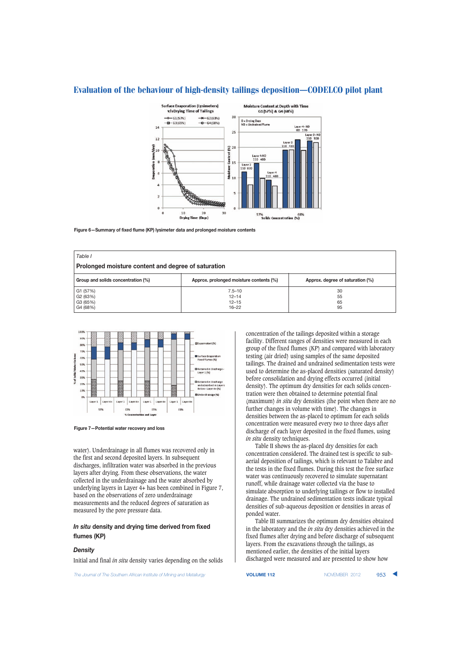

**Figure 6—Summary of fixed flume (KP) lysimeter data and prolonged moisture contents**

| Table I                                                  |                                                   |                                  |  |  |  |  |  |
|----------------------------------------------------------|---------------------------------------------------|----------------------------------|--|--|--|--|--|
| Prolonged moisture content and degree of saturation      |                                                   |                                  |  |  |  |  |  |
| Group and solids concentration (%)                       | Approx. prolonged moisture contents (%)           | Approx. degree of saturation (%) |  |  |  |  |  |
| G1 (57%)<br>G <sub>2</sub> (63%)<br>G3 (65%)<br>G4 (68%) | $7.5 - 10$<br>$12 - 14$<br>$12 - 15$<br>$16 - 22$ | 30<br>55<br>65<br>95             |  |  |  |  |  |





water). Underdrainage in all flumes was recovered only in the first and second deposited layers. In subsequent discharges, infiltration water was absorbed in the previous layers after drying. From these observations, the water collected in the underdrainage and the water absorbed by underlying layers in Layer 4+ has been combined in Figure 7, based on the observations of zero underdrainage measurements and the reduced degrees of saturation as measured by the pore pressure data.

## *In situ* **density and drying time derived from fixed flumes (KP)**

## *Density*

Initial and final *in situ* density varies depending on the solids

**The Journal of The Southern African Institute of Mining and Metallurgy <b>VOLUME 112 VOLUME 112** NOVEMBER 2012 953

concentration of the tailings deposited within a storage facility. Different ranges of densities were measured in each group of the fixed flumes (KP) and compared with laboratory testing (air dried) using samples of the same deposited tailings. The drained and undrained sedimentation tests were used to determine the as-placed densities (saturated density) before consolidation and drying effects occurred (initial density). The optimum dry densities for each solids concentration were then obtained to determine potential final (maximum) *in situ* dry densities (the point when there are no further changes in volume with time). The changes in densities between the as-placed to optimum for each solids concentration were measured every two to three days after discharge of each layer deposited in the fixed flumes, using *in situ* density techniques.

Table II shows the as-placed dry densities for each concentration considered. The drained test is specific to subaerial deposition of tailings, which is relevant to Talabre and the tests in the fixed flumes. During this test the free surface water was continuously recovered to simulate supernatant runoff, while drainage water collected via the base to simulate absorption to underlying tailings or flow to installed drainage. The undrained sedimentation tests indicate typical densities of sub-aqueous deposition or densities in areas of ponded water.

Table III summarizes the optimum dry densities obtained in the laboratory and the *in situ* dry densities achieved in the fixed flumes after drying and before discharge of subsequent layers. From the excavations through the tailings, as mentioned earlier, the densities of the initial layers discharged were measured and are presented to show how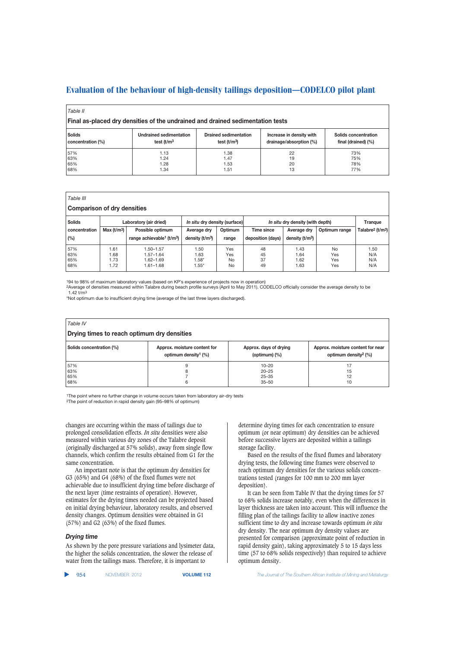| Table II<br>Final as-placed dry densities of the undrained and drained sedimentation tests |                                |                              |                          |                      |  |  |  |
|--------------------------------------------------------------------------------------------|--------------------------------|------------------------------|--------------------------|----------------------|--|--|--|
| <b>Solids</b>                                                                              | <b>Undrained sedimentation</b> | <b>Drained sedimentation</b> | Increase in density with | Solids concentration |  |  |  |
| concentration (%)                                                                          | test $(t/m3)$                  | test $(t/m3)$                | drainage/absorption (%)  | final (drained) (%)  |  |  |  |
| 57%                                                                                        | 1.13                           | 1.38                         | 22                       | 73%                  |  |  |  |
| 63%                                                                                        | 1.24                           | 1.47                         | 19                       | 75%                  |  |  |  |
| 65%                                                                                        | 1.28                           | 1.53                         | 20                       | 78%                  |  |  |  |
| 68%                                                                                        | 1.34                           | 1.51                         | 13                       | 77%                  |  |  |  |

| Table III     |                                    |                                                   |                               |           |                   |                                  |               |                                          |
|---------------|------------------------------------|---------------------------------------------------|-------------------------------|-----------|-------------------|----------------------------------|---------------|------------------------------------------|
|               | <b>Comparison of dry densities</b> |                                                   |                               |           |                   |                                  |               |                                          |
| <b>Solids</b> |                                    | Laboratory (air dried)                            | In situ dry density (surface) |           |                   | In situ dry density (with depth) |               | Trangue                                  |
| concentration | Max (t/m <sup>3</sup> )            | Possible optimum                                  | Average dry                   | Optimum   | Time since        | Average dry                      | Optimum range | Talabre <sup>2</sup> (t/m <sup>3</sup> ) |
| (%)           |                                    | range achievable <sup>1</sup> (t/m <sup>3</sup> ) | density $(t/m3)$              | range     | deposition (days) | density $(t/m3)$                 |               |                                          |
| 57%           | 1.61                               | $.50 - 1.57$                                      | 1.50                          | Yes       | 48                | 1.43                             | No            | 1.50                                     |
| 63%           | 1.68                               | $.57 - 1.64$                                      | 1.63                          | Yes       | 45                | 1.64                             | Yes           | N/A                                      |
| 65%           | 1.73                               | 1.62-1.69                                         | $1.58*$                       | <b>No</b> | 37                | 1.62                             | Yes           | N/A                                      |
| 68%           | 1.72                               | $.61 - 1.68$                                      | $1.55^*$                      | No        | 49                | 1.63                             | Yes           | N/A                                      |

194 to 98% of maximum laboratory values (based on KP's experience of projects now in operation)

2Average of densities measured within Talabre during beach profile surveys (April to May 2011). CODELCO officially consider the average density to be  $1.42 + m3$ 

\*Not optimum due to insufficient drying time (average of the last three layers discharged).

| Table IV                                    |                                                                     |                                            |                                                                          |  |  |  |  |
|---------------------------------------------|---------------------------------------------------------------------|--------------------------------------------|--------------------------------------------------------------------------|--|--|--|--|
| Drying times to reach optimum dry densities |                                                                     |                                            |                                                                          |  |  |  |  |
| Solids concentration (%)                    | Approx. moisture content for<br>optimum density <sup>1</sup> $(\%)$ | Approx. days of drying<br>(optimum) $(\%)$ | Approx. moisture content for near<br>optimum density <sup>2</sup> $(\%)$ |  |  |  |  |
| 57%                                         | 9                                                                   | $10 - 20$                                  | 17                                                                       |  |  |  |  |
| 63%                                         | 8                                                                   | $20 - 25$                                  | 15                                                                       |  |  |  |  |
| 65%                                         |                                                                     | $25 - 35$                                  | 12                                                                       |  |  |  |  |
| 68%                                         | 6                                                                   | $35 - 50$                                  | 10                                                                       |  |  |  |  |

1The point where no further change in volume occurs taken from laboratory air-dry tests 2The point of reduction in rapid density gain (95–98% of optimum)

changes are occurring within the mass of tailings due to prolonged consolidation effects. *In situ* densities were also measured within various dry zones of the Talabre deposit (originally discharged at 57% solids), away from single flow channels, which confirm the results obtained from G1 for the same concentration.

An important note is that the optimum dry densities for G3 (65%) and G4 (68%) of the fixed flumes were not achievable due to insufficient drying time before discharge of the next layer (time restraints of operation). However, estimates for the drying times needed can be projected based on initial drying behaviour, laboratory results, and observed density changes. Optimum densities were obtained in G1 (57%) and G2 (63%) of the fixed flumes.

## *Drying time*

As shown by the pore pressure variations and lysimeter data, the higher the solids concentration, the slower the release of water from the tailings mass. Therefore, it is important to

determine drying times for each concentration to ensure optimum (or near optimum) dry densities can be achieved before successive layers are deposited within a tailings storage facility.

Based on the results of the fixed flumes and laboratory drying tests, the following time frames were observed to reach optimum dry densities for the various solids concentrations tested (ranges for 100 mm to 200 mm layer deposition).

It can be seen from Table IV that the drying times for 57 to 68% solids increase notably, even when the differences in layer thickness are taken into account. This will influence the filling plan of the tailings facility to allow inactive zones sufficient time to dry and increase towards optimum *in situ* dry density. The near optimum dry density values are presented for comparison (approximate point of reduction in rapid density gain), taking approximately 5 to 15 days less time (57 to 68% solids respectively) than required to achieve optimum density.

| 954 | NOVEMBER 2012 | <b>VOLUME 1</b> |
|-----|---------------|-----------------|
|-----|---------------|-----------------|

**12** The Journal of The Southern African Institute of Mining and Metallurgy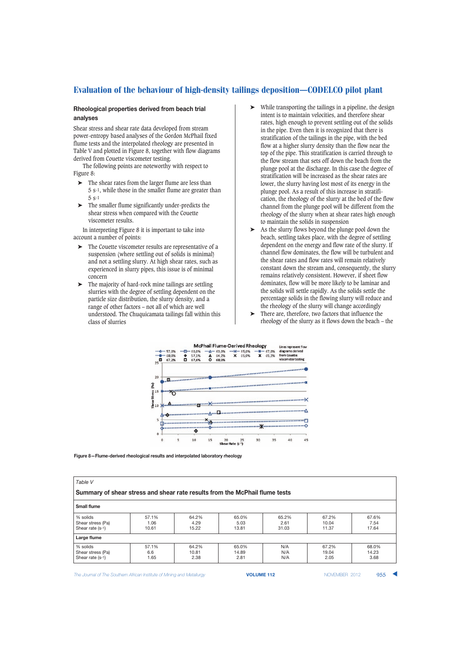## **Rheological properties derived from beach trial analyses**

Shear stress and shear rate data developed from stream power-entropy based analyses of the Gordon McPhail fixed flume tests and the interpolated rheology are presented in Table V and plotted in Figure 8, together with flow diagrams derived from Couette viscometer testing.

The following points are noteworthy with respect to Figure 8:

- $\blacktriangleright$  The shear rates from the larger flume are less than 5 s-1, while those in the smaller flume are greater than 5 s-1
- ➤ The smaller flume significantly under-predicts the shear stress when compared with the Couette viscometer results.

In interpreting Figure 8 it is important to take into account a number of points:

- ➤ The Couette viscometer results are representative of a suspension (where settling out of solids is minimal) and not a settling slurry. At high shear rates, such as experienced in slurry pipes, this issue is of minimal concern
- ➤ The majority of hard-rock mine tailings are settling slurries with the degree of settling dependent on the particle size distribution, the slurry density, and a range of other factors – not all of which are well understood. The Chuquicamata tailings fall within this class of slurries
- ➤ While transporting the tailings in a pipeline, the design intent is to maintain velocities, and therefore shear rates, high enough to prevent settling out of the solids in the pipe. Even then it is recognized that there is stratification of the tailings in the pipe, with the bed flow at a higher slurry density than the flow near the top of the pipe. This stratification is carried through to the flow stream that sets off down the beach from the plunge pool at the discharge. In this case the degree of stratification will be increased as the shear rates are lower, the slurry having lost most of its energy in the plunge pool. As a result of this increase in stratification, the rheology of the slurry at the bed of the flow channel from the plunge pool will be different from the rheology of the slurry when at shear rates high enough to maintain the solids in suspension
- ➤ As the slurry flows beyond the plunge pool down the beach, settling takes place, with the degree of settling dependent on the energy and flow rate of the slurry. If channel flow dominates, the flow will be turbulent and the shear rates and flow rates will remain relatively constant down the stream and, consequently, the slurry remains relatively consistent. However, if sheet flow dominates, flow will be more likely to be laminar and the solids will settle rapidly. As the solids settle the percentage solids in the flowing slurry will reduce and the rheology of the slurry will change accordingly
- ➤ There are, therefore, two factors that influence the rheology of the slurry as it flows down the beach – the



**Figure 8—Flume-derived rheological results and interpolated laboratory rheology**

| Table V                                                                     |               |               |               |               |                |               |  |  |
|-----------------------------------------------------------------------------|---------------|---------------|---------------|---------------|----------------|---------------|--|--|
| Summary of shear stress and shear rate results from the McPhail flume tests |               |               |               |               |                |               |  |  |
| <b>Small flume</b>                                                          |               |               |               |               |                |               |  |  |
| % solids                                                                    | 57.1%         | 64.2%         | 65.0%         | 65.2%         | 67.2%          | 67.6%         |  |  |
| Shear stress (Pa)<br>Shear rate (s-1)                                       | 1.06<br>10.61 | 4.29<br>15.22 | 5.03<br>13.81 | 2.61<br>31.03 | 10.04<br>11.37 | 7.54<br>17.64 |  |  |
| Large flume                                                                 |               |               |               |               |                |               |  |  |
| % solids                                                                    | 57.1%         | 64.2%         | 65.0%         | N/A           | 67.2%          | 68.0%         |  |  |
| Shear stress (Pa)                                                           | 6.6           | 10.81         | 14.89         | N/A           | 19.04          | 14.23         |  |  |
| Shear rate (s-1)                                                            | 1.65          | 2.38          | 2.81          | N/A           | 2.05           | 3.68          |  |  |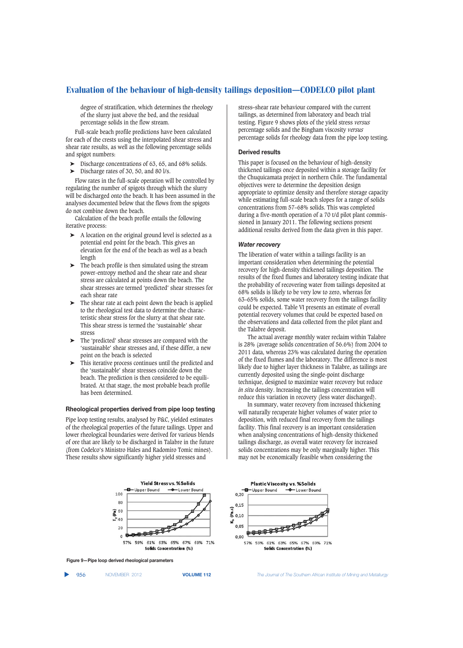degree of stratification, which determines the rheology of the slurry just above the bed, and the residual percentage solids in the flow stream.

Full-scale beach profile predictions have been calculated for each of the crests using the interpolated shear stress and shear rate results, as well as the following percentage solids and spigot numbers:

- ightharpoonup is been been concentrations of 63, 65, and 68% solids.<br>Discharge rates of 30, 50, and 80 l/s
- Discharge rates of 30, 50, and 80 l/s.

Flow rates in the full-scale operation will be controlled by regulating the number of spigots through which the slurry will be discharged onto the beach. It has been assumed in the analyses documented below that the flows from the spigots do not combine down the beach.

Calculation of the beach profile entails the following iterative process:

- ➤ A location on the original ground level is selected as a potential end point for the beach. This gives an elevation for the end of the beach as well as a beach length
- ➤ The beach profile is then simulated using the stream power-entropy method and the shear rate and shear stress are calculated at points down the beach. The shear stresses are termed 'predicted' shear stresses for each shear rate
- The shear rate at each point down the beach is applied to the rheological test data to determine the characteristic shear stress for the slurry at that shear rate. This shear stress is termed the 'sustainable' shear stress
- ➤ The 'predicted' shear stresses are compared with the 'sustainable' shear stresses and, if these differ, a new point on the beach is selected
- ➤ This iterative process continues until the predicted and the 'sustainable' shear stresses coincide down the beach. The prediction is then considered to be equilibrated. At that stage, the most probable beach profile has been determined.

#### **Rheological properties derived from pipe loop testing**

Pipe loop testing results, analysed by P&C, yielded estimates of the rheological properties of the future tailings. Upper and lower rheological boundaries were derived for various blends of ore that are likely to be discharged in Talabre in the future (from Codelco's Ministro Hales and Radomiro Tomic mines). These results show significantly higher yield stresses and

stress–shear rate behaviour compared with the current tailings, as determined from laboratory and beach trial testing. Figure 9 shows plots of the yield stress *versus* percentage solids and the Bingham viscosity *versus* percentage solids for rheology data from the pipe loop testing.

### **Derived results**

This paper is focused on the behaviour of high-density thickened tailings once deposited within a storage facility for the Chuquicamata project in northern Chile. The fundamental objectives were to determine the deposition design appropriate to optimize density and therefore storage capacity while estimating full-scale beach slopes for a range of solids concentrations from 57–68% solids. This was completed during a five-month operation of a 70 t/d pilot plant commissioned in January 2011. The following sections present additional results derived from the data given in this paper.

#### *Water recovery*

The liberation of water within a tailings facility is an important consideration when determining the potential recovery for high-density thickened tailings deposition. The results of the fixed flumes and laboratory testing indicate that the probability of recovering water from tailings deposited at 68% solids is likely to be very low to zero, whereas for 63–65% solids, some water recovery from the tailings facility could be expected. Table VI presents an estimate of overall potential recovery volumes that could be expected based on the observations and data collected from the pilot plant and the Talabre deposit.

The actual average monthly water reclaim within Talabre is 28% (average solids concentration of 56.6%) from 2004 to 2011 data, whereas 23% was calculated during the operation of the fixed flumes and the laboratory. The difference is most likely due to higher layer thickness in Talabre, as tailings are currently deposited using the single-point discharge technique, designed to maximize water recovery but reduce *in situ* density. Increasing the tailings concentration will reduce this variation in recovery (less water discharged).

In summary, water recovery from increased thickening will naturally recuperate higher volumes of water prior to deposition, with reduced final recovery from the tailings facility. This final recovery is an important consideration when analysing concentrations of high-density thickened tailings discharge, as overall water recovery for increased solids concentrations may be only marginally higher. This may not be economically feasible when considering the





▲

956 NOVEMBER 2012 **VOLUME 112** *The Journal of The Southern African Institute of Mining and Metallurgy*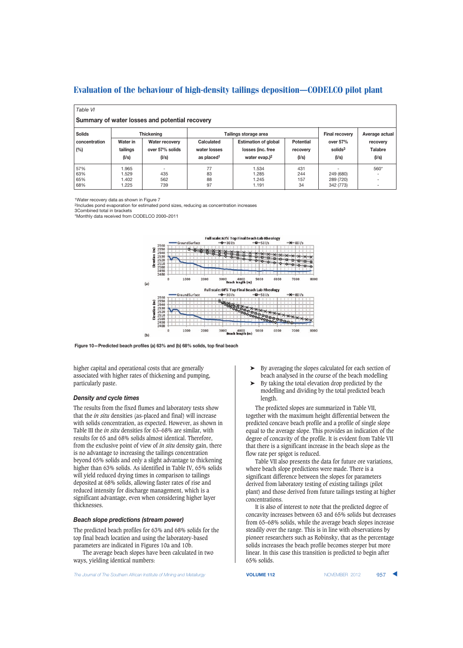*Table VI*

| Summary of water losses and potential recovery |          |                 |                        |                             |                  |                       |                          |  |
|------------------------------------------------|----------|-----------------|------------------------|-----------------------------|------------------|-----------------------|--------------------------|--|
| <b>Solids</b><br><b>Thickening</b>             |          |                 |                        | Tailings storage area       |                  | <b>Final recovery</b> | Average actual           |  |
| concentration                                  | Water in | Water recovery  | Calculated             | <b>Estimation of global</b> | <b>Potential</b> | over $57%$            | recovery                 |  |
| (%)                                            | tailings | over 57% solids | water losses           | losses (inc. free           | recovery         | solids <sup>3</sup>   | <b>Talabre</b>           |  |
|                                                | (1/s)    | (1/s)           | as placed <sup>1</sup> | water evap. $)^2$           | (1/s)            | (1/s)                 | (1/s)                    |  |
| 57%                                            | 1.965    |                 | 77                     | 1.534                       | 431              |                       | 560*                     |  |
| 63%                                            | .529     | 435             | 83                     | 1.285                       | 244              | 249 (680)             | -                        |  |
| 65%                                            | 1.402    | 562             | 88                     | 1.245                       | 157              | 289 (720)             | $\overline{\phantom{0}}$ |  |
| 68%                                            | 1.225    | 739             | 97                     | 1.191                       | 34               | 342 (773)             | ٠                        |  |

1Water recovery data as shown in Figure 7

2Includes pond evaporation for estimated pond sizes, reducing as concentration increases 3Combined total in brackets

\*Monthly data received from CODELCO 2000–2011



**Figure 10—Predicted beach profiles (a) 63% and (b) 68% solids, top final beach**

higher capital and operational costs that are generally associated with higher rates of thickening and pumping, particularly paste.

## *Density and cycle times*

The results from the fixed flumes and laboratory tests show that the *in situ* densities (as-placed and final) will increase with solids concentration, as expected. However, as shown in Table III the *in situ* densities for 63–68% are similar, with results for 65 and 68% solids almost identical. Therefore, from the exclusive point of view of *in situ* density gain, there is no advantage to increasing the tailings concentration beyond 65% solids and only a slight advantage to thickening higher than 63% solids. As identified in Table IV, 65% solids will yield reduced drying times in comparison to tailings deposited at 68% solids, allowing faster rates of rise and reduced intensity for discharge management, which is a significant advantage, even when considering higher layer thicknesses.

#### *Beach slope predictions (stream power)*

The predicted beach profiles for 63% and 68% solids for the top final beach location and using the laboratory-based parameters are indicated in Figures 10a and 10b.

The average beach slopes have been calculated in two ways, yielding identical numbers:

**The Journal of The Southern African Institute of Mining and Metallurgy <b>VOLUME 112 VOLUME 112** NOVEMBER 2012 957

- ➤ By averaging the slopes calculated for each section of beach analysed in the course of the beach modelling
- ➤ By taking the total elevation drop predicted by the modelling and dividing by the total predicted beach length.

The predicted slopes are summarized in Table VII, together with the maximum height differential between the predicted concave beach profile and a profile of single slope equal to the average slope. This provides an indication of the degree of concavity of the profile. It is evident from Table VII that there is a significant increase in the beach slope as the flow rate per spigot is reduced.

Table VII also presents the data for future ore variations, where beach slope predictions were made. There is a significant difference between the slopes for parameters derived from laboratory testing of existing tailings (pilot plant) and those derived from future tailings testing at higher concentrations.

It is also of interest to note that the predicted degree of concavity increases between 63 and 65% solids but decreases from 65–68% solids, while the average beach slopes increase steadily over the range. This is in line with observations by pioneer researchers such as Robinsky, that as the percentage solids increases the beach profile becomes steeper but more linear. In this case this transition is predicted to begin after 65% solids.